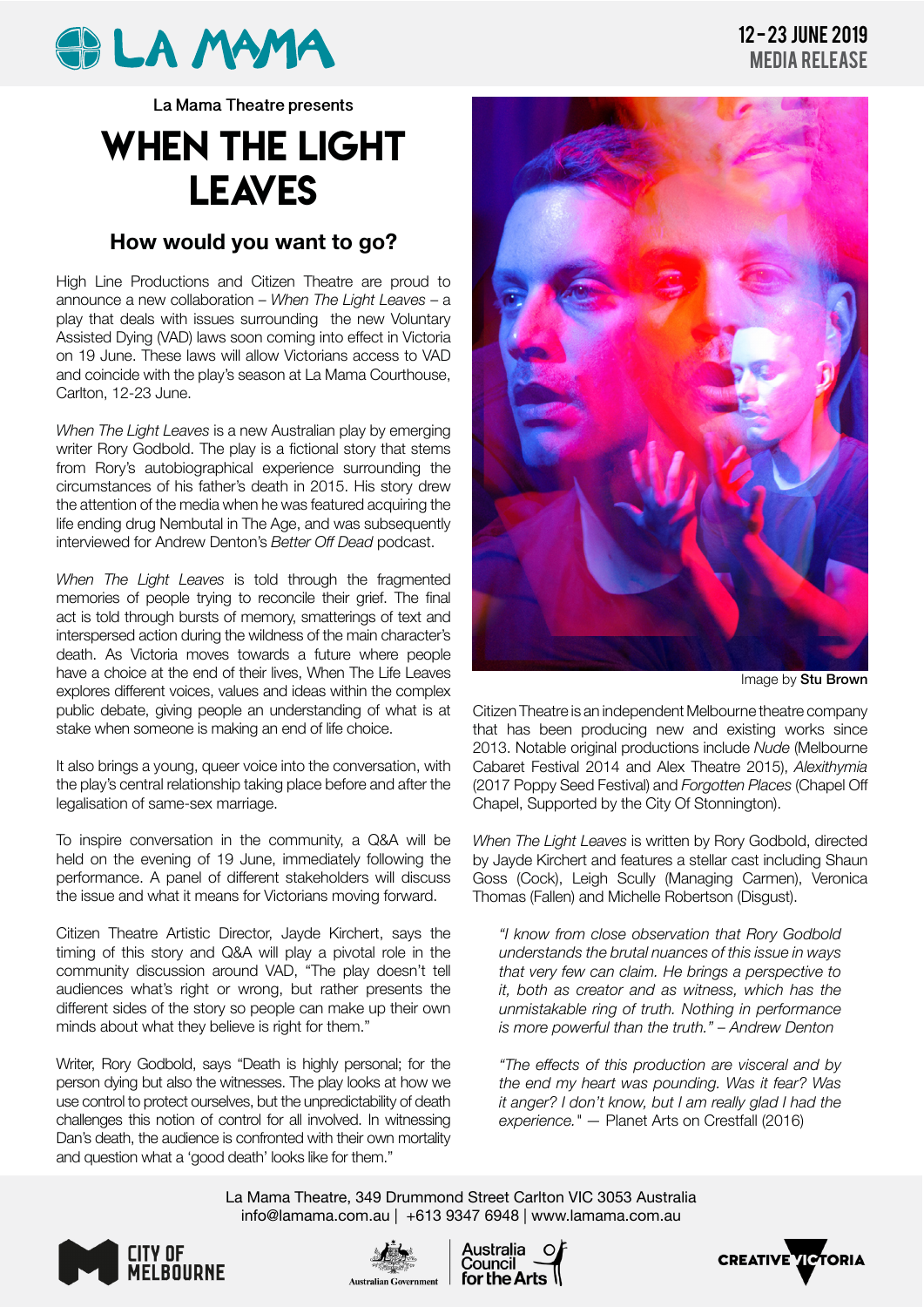

**La Mama Theatre presents**

## WHEN THE LIGHT LEAVES

## **How would you want to go?**

High Line Productions and Citizen Theatre are proud to announce a new collaboration – *When The Light Leaves* – a play that deals with issues surrounding the new Voluntary Assisted Dying (VAD) laws soon coming into effect in Victoria on 19 June. These laws will allow Victorians access to VAD and coincide with the play's season at La Mama Courthouse, Carlton, 12-23 June.

*When The Light Leaves* is a new Australian play by emerging writer Rory Godbold. The play is a fictional story that stems from Rory's autobiographical experience surrounding the circumstances of his father's death in 2015. His story drew the attention of the media when he was featured acquiring the life ending drug Nembutal in The Age, and was subsequently interviewed for Andrew Denton's *Better Off Dead* podcast.

*When The Light Leaves* is told through the fragmented memories of people trying to reconcile their grief. The final act is told through bursts of memory, smatterings of text and interspersed action during the wildness of the main character's death. As Victoria moves towards a future where people have a choice at the end of their lives, When The Life Leaves explores different voices, values and ideas within the complex public debate, giving people an understanding of what is at stake when someone is making an end of life choice.

It also brings a young, queer voice into the conversation, with the play's central relationship taking place before and after the legalisation of same-sex marriage.

To inspire conversation in the community, a Q&A will be held on the evening of 19 June, immediately following the performance. A panel of different stakeholders will discuss the issue and what it means for Victorians moving forward.

Citizen Theatre Artistic Director, Jayde Kirchert, says the timing of this story and Q&A will play a pivotal role in the community discussion around VAD, "The play doesn't tell audiences what's right or wrong, but rather presents the different sides of the story so people can make up their own minds about what they believe is right for them."

Writer, Rory Godbold, says "Death is highly personal; for the person dying but also the witnesses. The play looks at how we use control to protect ourselves, but the unpredictability of death challenges this notion of control for all involved. In witnessing Dan's death, the audience is confronted with their own mortality and question what a 'good death' looks like for them."



Image by Stu Brown

Citizen Theatre is an independent Melbourne theatre company that has been producing new and existing works since 2013. Notable original productions include *Nude* (Melbourne Cabaret Festival 2014 and Alex Theatre 2015), *Alexithymia*  (2017 Poppy Seed Festival) and *Forgotten Places* (Chapel Off Chapel, Supported by the City Of Stonnington).

*When The Light Leaves* is written by Rory Godbold, directed by Jayde Kirchert and features a stellar cast including Shaun Goss (Cock), Leigh Scully (Managing Carmen), Veronica Thomas (Fallen) and Michelle Robertson (Disgust).

*"I know from close observation that Rory Godbold understands the brutal nuances of this issue in ways that very few can claim. He brings a perspective to it, both as creator and as witness, which has the unmistakable ring of truth. Nothing in performance is more powerful than the truth." – Andrew Denton*

*"The effects of this production are visceral and by the end my heart was pounding. Was it fear? Was it anger? I don't know, but I am really glad I had the experience." —* Planet Arts on Crestfall (2016)

La Mama Theatre, 349 Drummond Street Carlton VIC 3053 Australia info@lamama.com.au | +613 9347 6948 | www.lamama.com.au